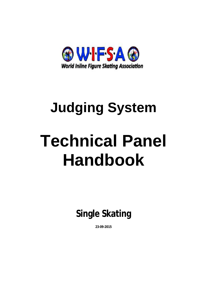

# **Judging System Technical Panel Handbook**

**Single Skating** 

**23-09-2015**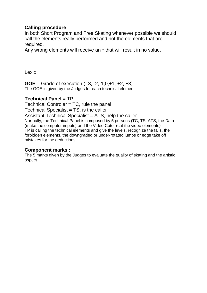# **Calling procedure**

In both Short Program and Free Skating whenever possible we should call the elements really performed and not the elements that are required.

Any wrong elements will receive an \* that will result in no value.

Lexic :

**GOE** = Grade of execution  $(-3, -2, -1, 0, +1, +2, +3)$ The GOE is given by the Judges for each technical element

# **Technical Panel** = TP

Technical Controler = TC, rule the panel

 $Technical Specialist = TS$ , is the caller

Assistant Technical Specialist = ATS, help the caller

Normally, the Technical Panel is composed by 5 persons (TC, TS, ATS, the Data (make the computer imputs) and the Video Cuter (cut the video elements) TP is calling the technical elements and give the levels, recognize the falls, the forbidden elements, the downgraded or under-rotated jumps or edge take off mistakes for the deductions.

# **Component marks :**

The 5 marks given by the Judges to evaluate the quality of skating and the artistic aspect.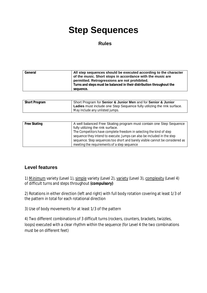# **Step Sequences**

#### **Rules**

| General | All step sequences should be executed according to the character<br>of the music. Short stops in accordance with the music are<br>permitted. Retrogressions are not prohibited.<br>Turns and steps must be balanced in their distribution throughout the<br>seauence. |
|---------|-----------------------------------------------------------------------------------------------------------------------------------------------------------------------------------------------------------------------------------------------------------------------|
|---------|-----------------------------------------------------------------------------------------------------------------------------------------------------------------------------------------------------------------------------------------------------------------------|

| <b>Short Program</b> | Short Program for Senior & Junior Men and for Senior & Junior<br>Ladies must include one Step Sequence fully utilizing the rink surface. |
|----------------------|------------------------------------------------------------------------------------------------------------------------------------------|
|                      | May include any unlisted jumps.                                                                                                          |

| Free Skating | A well balanced Free Skating program must contain one Step Sequence           |
|--------------|-------------------------------------------------------------------------------|
|              | fully utilizing the rink surface.                                             |
|              | The Competitors have complete freedom in selecting the kind of step           |
|              | sequence they intend to execute. Jumps can also be included in the step       |
|              | sequence. Step sequences too short and barely visible cannot be considered as |
|              | meeting the requirements of a step sequence                                   |

# **Level features**

1) Minimum variety (Level 1), simple variety (Level 2), variety (Level 3), complexity (Level 4) of difficult turns and steps throughout **(compulsory)** 

2) Rotations in either direction (left and right) with full body rotation covering at least 1/3 of the pattern in total for each rotational direction

3) Use of body movements for at least 1/3 of the pattern

4) Two different combinations of 3 difficult turns (rockers, counters, brackets, twizzles, loops) executed with a clear rhythm within the sequence (for Level 4 the two combinations must be on different feet)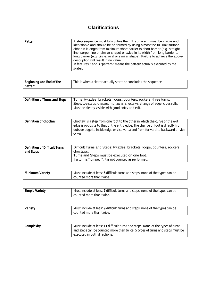# **Clarifications**

| Pattern | A step sequence must fully utilize the rink surface. It must be visible and<br>identifiable and should be performed by using almost the full rink surface<br>either in it length from minimum short barrier to short barrier (e.g. straight<br>line, serpentine or similar shape) or twice in its width from long barrier to<br>long barrier (e.g. circle, oval or similar shape). Failure to achieve the above<br>description will result in no value.<br>In features 2 and 3 "pattern" means the pattern actually executed by the<br>skater. |
|---------|------------------------------------------------------------------------------------------------------------------------------------------------------------------------------------------------------------------------------------------------------------------------------------------------------------------------------------------------------------------------------------------------------------------------------------------------------------------------------------------------------------------------------------------------|
|---------|------------------------------------------------------------------------------------------------------------------------------------------------------------------------------------------------------------------------------------------------------------------------------------------------------------------------------------------------------------------------------------------------------------------------------------------------------------------------------------------------------------------------------------------------|

| Beginning and End of the | This is when a skater actually starts or concludes the sequence. |
|--------------------------|------------------------------------------------------------------|
| pattern                  |                                                                  |

| Definition of Turns and Steps | Turns: twizzles, brackets, loops, counters, rockers, three turns.<br>Steps: toe steps, chasses, mohawks, choctaws. change of edge, cross rolls. |
|-------------------------------|-------------------------------------------------------------------------------------------------------------------------------------------------|
|                               | Must be clearly visible with good entry and exit.                                                                                               |

| Definition of choctaw | Choctaw is a step from one foot to the other in which the curve of the exit     |
|-----------------------|---------------------------------------------------------------------------------|
|                       | edge is opposite to that of the entry edge. The change of foot is directly from |
|                       | outside edge to inside edge or vice versa and from forward to backward or vice  |
|                       | versa.                                                                          |

| <b>Definition of Difficult Turns</b> | Difficult Turns and Steps: twizzles, brackets, loops, counters, rockers, |
|--------------------------------------|--------------------------------------------------------------------------|
| and Steps                            | choctaws.                                                                |
|                                      | Turns and Steps must be executed on one foot.                            |
|                                      | If a turn is "jumped", it is not counted as performed.                   |

| Minimum Variety | Must include at least 5 difficult turns and steps, none of the types can be |
|-----------------|-----------------------------------------------------------------------------|
|                 | counted more than twice.                                                    |

| Simple Variety | Must include at least 7 difficult turns and steps, none of the types can be |
|----------------|-----------------------------------------------------------------------------|
|                | counted more than twice.                                                    |

| Variety | Must include at least 9 difficult turns and steps, none of the types can be |
|---------|-----------------------------------------------------------------------------|
|         | counted more than twice.                                                    |

| Complexity | Must include at least 11 difficult turns and steps. None of the types of turns |
|------------|--------------------------------------------------------------------------------|
|            | and steps can be counted more than twice. 5 types of turns and steps must be   |
|            | executed in both directions.                                                   |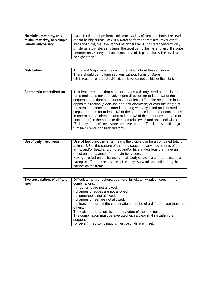| No minimum variety, only     | If a skater does not perform a minimum variety of steps and turns, the Level      |
|------------------------------|-----------------------------------------------------------------------------------|
| minimum variety, only simple | cannot be higher than Basic. If a skater performs only minimum variety of         |
| variety, only variety        | steps and turns, the Level cannot be higher than 1. If a skater performs only     |
|                              | simple variety of steps and turns, the Level cannot be higher than 2. If a skater |
|                              | performs only variety (but not complexity) of steps and turns, the Level cannot   |
|                              | be higher than 3.                                                                 |

| <b>Distribution</b> | Turns and Steps must be distributed throughout the sequence.                 |
|---------------------|------------------------------------------------------------------------------|
|                     | There should be no long sections without Turns or Steps.                     |
|                     | If this requirement is not fulfilled, the Level cannot be higher than Basic. |

| Rotations in either direction | This feature means that a skater rotates with any listed and unlisted<br>turns and steps continuously in one direction for at least 1/3 of the<br>sequence and then continuously for at least 1/3 of the sequence in the<br>opposite direction (clockwise and anti-clockwise) or over the length of<br>the step sequence the skater is rotating with any listed and unlisted<br>steps and turns for at least 1/3 of the sequence in total (not continuous)<br>in one rotational direction and at least 1/3 of the sequence in total (not<br>continuous) in the opposite direction (clockwise and anti-clockwise).<br>"Full body rotation" means one complete rotation. The skater should not just<br>turn half a revolution back and forth. |
|-------------------------------|---------------------------------------------------------------------------------------------------------------------------------------------------------------------------------------------------------------------------------------------------------------------------------------------------------------------------------------------------------------------------------------------------------------------------------------------------------------------------------------------------------------------------------------------------------------------------------------------------------------------------------------------------------------------------------------------------------------------------------------------|

| Use of body movements | Use of body movements means the visible use for a combined total of<br>at least 1/3 of the pattern of the step sequence any movements of the<br>arms, and/or head and/or torso and/or hips and/or legs that have an<br>effect on the balance of the main body core.<br>Having an effect on the balance of main body core can also be understood as<br>having an effect on the balance of the body as a whole and influencing the<br>balance on the frame. |
|-----------------------|-----------------------------------------------------------------------------------------------------------------------------------------------------------------------------------------------------------------------------------------------------------------------------------------------------------------------------------------------------------------------------------------------------------------------------------------------------------|

| Two combinations of difficult | Difficult turns are rockers, counters, brackets, twizzles, loops. In the    |
|-------------------------------|-----------------------------------------------------------------------------|
| turns                         | combinations:                                                               |
|                               | - three turns are not allowed;                                              |
|                               | - changes of edges are not allowed;                                         |
|                               | - a jump/hop is not allowed;                                                |
|                               | - changes of feet are not allowed;                                          |
|                               | - at least one turn in the combination must be of a different type than the |
|                               | others.                                                                     |
|                               | The exit edge of a turn is the entry edge of the next turn.                 |
|                               | The combination must be executed with a clear rhythm within the             |
|                               | sequence.                                                                   |
|                               | For Level 4 the 2 combinations must be on different feet.                   |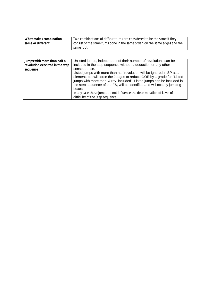| What makes combination | Two combinations of difficult turns are considered to be the same if they   |
|------------------------|-----------------------------------------------------------------------------|
| same or different      | consist of the same turns done in the same order, on the same edges and the |
|                        | same foot.                                                                  |

| Jumps with more than half a<br>revolution executed in the step | Unlisted jumps, independent of their number of revolutions can be<br>included in the step sequence without a deduction or any other                                                                                                                                                                                                                                                                                                                         |
|----------------------------------------------------------------|-------------------------------------------------------------------------------------------------------------------------------------------------------------------------------------------------------------------------------------------------------------------------------------------------------------------------------------------------------------------------------------------------------------------------------------------------------------|
| sequence                                                       | consequence.<br>Listed jumps with more than half revolution will be ignored in SP as an<br>element, but will force the Judges to reduce GOE by 1 grade for "Listed<br>jumps with more than $\frac{1}{2}$ rev. included". Listed jumps can be included in<br>the step sequence of the FS, will be identified and will occupy jumping<br>boxes.<br>In any case these jumps do not influence the determination of Level of<br>difficulty of the Step sequence. |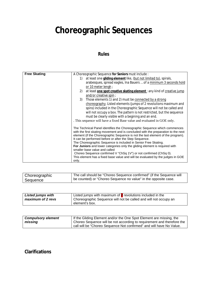# **Choreographic Sequences**

# **Rules**

| <b>Free Skating</b> | A Choreographic Sequence for Seniors must include :                                                                                       |
|---------------------|-------------------------------------------------------------------------------------------------------------------------------------------|
|                     | at least one gliding element like, (but not limited to), spirals,<br>1)                                                                   |
|                     | arabesques, spread eagles, Ina Bauers  of a minimum 3 seconds hold                                                                        |
|                     | or 10 meter lengh;                                                                                                                        |
|                     | at least one spot creative skating element: any kind of creative jump<br>2)                                                               |
|                     | and/or creative spin;                                                                                                                     |
|                     | Those elements 1) and 2) must be connected by a strong<br>3)                                                                              |
|                     | choreography. Listed elements (jumps of 2 revolutions maximum and                                                                         |
|                     | spins) included in the Choreographic Sequence will not be called and                                                                      |
|                     | will not occupy a box. The pattern is not restricted, but the sequence                                                                    |
|                     | must be clearly visible with a begining and an end.                                                                                       |
|                     | . This sequence will have a fixed Base value and evaluated in GOE only.                                                                   |
|                     |                                                                                                                                           |
|                     | The Technical Panel identifies the Choreographic Sequence which commences                                                                 |
|                     | with the first skating movement and is concluded with the preparation to the next                                                         |
|                     | element (if the Choreographic Sequence is not the last element of the program).<br>It can be performed before or after the Step Sequence. |
|                     | The Choreographic Sequence is included in Senior Free Skating.                                                                            |
|                     | For Juniors and lower categories only the gliding element is required with                                                                |
|                     | smaller base value and called                                                                                                             |
|                     | Choreo Sequence confirmed V "ChSq 1V") or not confirmed (ChSq 0).                                                                         |
|                     | This element has a fixed base value and will be evaluated by the judges in GOE                                                            |
|                     | only.                                                                                                                                     |

| Choreographic | The call should be "Choreo Sequence confirmed" (if the Sequence will |
|---------------|----------------------------------------------------------------------|
| Sequence      | be counted) or "Choreo Sequence no value" in the opposite case.      |

| <b>Listed jumps with</b> | Listed jumps with maximum of $2$ revolutions included in the |                                                                  |
|--------------------------|--------------------------------------------------------------|------------------------------------------------------------------|
| maximum of 2 revs        |                                                              | Choreographic Sequence will not be called and will not occupy an |
|                          | element's box.                                               |                                                                  |

| <b>Compulsory element</b> | If the Gliding Element and/or the One Spot Element are missing, the    |
|---------------------------|------------------------------------------------------------------------|
| missing                   | Choreo Sequence will be not according to requirement and therefore the |
|                           | call will be "Choreo Sequence Not confirmed" and will have No Value.   |

**Clarifications**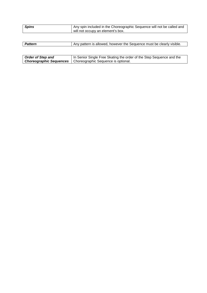| <b>Spins</b> | Any spin included in the Choreographic Sequence will not be called and |
|--------------|------------------------------------------------------------------------|
|              | will not occupy an element's box.                                      |

| <b>Pattern</b> | Any pattern is allowed, however the Sequence must be clearly visible. |
|----------------|-----------------------------------------------------------------------|
|                |                                                                       |

| <b>Order of Step and</b> | In Senior Single Free Skating the order of the Step Sequence and the |
|--------------------------|----------------------------------------------------------------------|
|                          | <b>Choreographic Sequences</b>   Choreographic Sequence is optional. |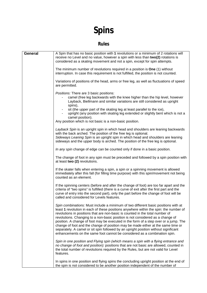# **Spins**

# **Rules**

| <b>General</b> | A Spin that has no basic position with 1 revolutions or a minimum of 2 rotations will<br>receive no Level and no value, however a spin with less than two(2) rotations is<br>considered as a skating movement and not a spin, except for spin attempts.                                                                                                                                                                                                                                                                                                                                                                                                                                        |
|----------------|------------------------------------------------------------------------------------------------------------------------------------------------------------------------------------------------------------------------------------------------------------------------------------------------------------------------------------------------------------------------------------------------------------------------------------------------------------------------------------------------------------------------------------------------------------------------------------------------------------------------------------------------------------------------------------------------|
|                | The minimum number of revolutions required in a position is One (1) without<br>interruption. In case this requirement is not fulfilled, the position is not counted.                                                                                                                                                                                                                                                                                                                                                                                                                                                                                                                           |
|                | Variations of positions of the head, arms or free leg, as well as fluctuations of speed<br>are permitted.                                                                                                                                                                                                                                                                                                                                                                                                                                                                                                                                                                                      |
|                | Positions: There are 3 basic positions:<br>camel (free leg backwards with the knee higher than the hip level, however<br>Layback, Biellmann and similar variations are still considered as upright<br>spins),                                                                                                                                                                                                                                                                                                                                                                                                                                                                                  |
|                | sit (the upper part of the skating leg at least parallel to the ice),<br>upright (any position with skating leg extended or slightly bent which is not a<br>camel position).                                                                                                                                                                                                                                                                                                                                                                                                                                                                                                                   |
|                | Any position which is not basic is a non-basic position.                                                                                                                                                                                                                                                                                                                                                                                                                                                                                                                                                                                                                                       |
|                | Layback Spin is an upright spin in which head and shoulders are leaning backwards<br>with the back arched. The position of the free leg is optional.<br>Sideways Leaning Spin is an upright spin in which head and shoulders are leaning<br>sideways and the upper body is arched. The position of the free leg is optional.                                                                                                                                                                                                                                                                                                                                                                   |
|                | In any spin change of edge can be counted only if done in a basic position.                                                                                                                                                                                                                                                                                                                                                                                                                                                                                                                                                                                                                    |
|                | The change of foot in any spin must be preceded and followed by a spin position with<br>at least two (2) revolutions.                                                                                                                                                                                                                                                                                                                                                                                                                                                                                                                                                                          |
|                | If the skater falls when entering a spin, a spin or a spinning movement is allowed<br>immediately after this fall (for filling time purpose) with this spin/movement not being<br>counted as an element.                                                                                                                                                                                                                                                                                                                                                                                                                                                                                       |
|                | If the spinning centers (before and after the change of foot) are too far apart and the<br>criteria of "two spins" is fulfilled (there is a curve of exit after the first part and the<br>curve of entry into the second part), only the part before the change of foot will be<br>called and considered for Levels features.                                                                                                                                                                                                                                                                                                                                                                  |
|                | Spin combinations: Must include a minimum of two different basic positions with at<br>least 1 revolution in each of these positions anywhere within the spin: the number of<br>revolutions in positions that are non-basic is counted in the total number of<br>revolutions. Changing to a non-basic position is not considered as a change of<br>position. A change of foot may be executed in the form of a step over or a jump. The<br>change of foot and the change of position may be made either at the same time or<br>separately. A camel or sit spin followed by an upright position without significant<br>enhancements on the same foot cannot be considered as a combination spin. |
|                | Spin in one position and Flying spin (which means a spin with a flying entrance and<br>no change of foot and position): positions that are not basic are allowed, counted in<br>the total number of revolutions required by the Rules, but are not valid for Level<br>features.                                                                                                                                                                                                                                                                                                                                                                                                                |
|                | In spins in one position and flying spins the concluding upright position at the end of<br>the spin is not considered to be another position independent of the number of                                                                                                                                                                                                                                                                                                                                                                                                                                                                                                                      |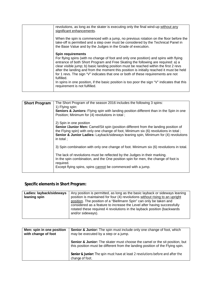|  | revolutions, as long as the skater is executing only the final wind-up without any<br>significant enhancements.                                                                                                                                                                                                                                                                                                                                                                                                                                                                                                                |
|--|--------------------------------------------------------------------------------------------------------------------------------------------------------------------------------------------------------------------------------------------------------------------------------------------------------------------------------------------------------------------------------------------------------------------------------------------------------------------------------------------------------------------------------------------------------------------------------------------------------------------------------|
|  | When the spin is commenced with a jump, no previous rotation on the floor before the<br>take-off is permitted and a step over must be considered by the Technical Panel in<br>the Base Value and by the Judges in the Grade of execution.                                                                                                                                                                                                                                                                                                                                                                                      |
|  | <b>Spin requirements</b><br>For flying spins (with no change of foot and only one position) and spins with flying<br>entrance of both Short Program and Free Skating the following are required: a) a<br>clear visible jump; b) basic landing position must be reached within the first 2 revs<br>after the landing and from the moment this position is initially reached it must be held<br>for 1 revs. The sign "V" indicates that one or both of these requirements are not<br>fulfilled.<br>In spins in one position, if the basic position is too poor the sign "V" indicates that this<br>requirement is not fulfilled. |

| <b>Short Program</b> | The Short Program of the season 2016 includes the following 3 spins:<br>1) Flying spin:<br><b>Seniors &amp; Juniors:</b> Flying spin with landing position different than in the Spin in one<br>Position; Minimum for (4) revolutions in total;                                                                  |
|----------------------|------------------------------------------------------------------------------------------------------------------------------------------------------------------------------------------------------------------------------------------------------------------------------------------------------------------|
|                      | 2) Spin in one position<br><b>Senior /Junior Men:</b> Camel/Sit spin (position different from the landing position of<br>the Flying spin) with only one change of foot, Minimum six (6) revolutions in total;<br>Senior & Junior Ladies: Layback/sideways leaning spin, Minimum for (4) revolutions<br>in total; |
|                      | 3) Spin combination with only one change of foot. Minimum six (6) revolutions in total.                                                                                                                                                                                                                          |
|                      | The lack of revolutions must be reflected by the Judges in their marking.<br>In the spin combination, and the One position spin for men, the change of foot is<br>required.<br>Except flying spins, spins cannot be commenced with a jump.                                                                       |

# **Specific elements in Short Program:**

| Ladies: layback/sideways | Any position is permitted, as long as the basic layback or sideways leaning  |
|--------------------------|------------------------------------------------------------------------------|
| leaning spin             | position is maintained for four (4) revolutions without rising to an upright |
|                          | position. The position of a "Biellmann Spin" can only be taken and           |
|                          | considered as a feature to increase the Level after having successfully      |
|                          | rotated these required 4 revolutions in the layback position (backwards)     |
|                          | and/or sideways).                                                            |
|                          |                                                                              |

| Men: spin in one position<br>with change of foot | Senior & Junior: The spin must include only one change of foot, which<br>may be executed by a step or a jump.                                                          |
|--------------------------------------------------|------------------------------------------------------------------------------------------------------------------------------------------------------------------------|
|                                                  | <b>Senior &amp; Junior:</b> The skater must choose the camel or the sit position, but<br>this position must be different from the landing position of the Flying spin. |
|                                                  | Senior & Junior: The spin must have at least 2 revolutions before and after the<br>change of foot.                                                                     |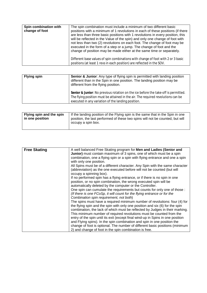| Spin combination with<br>change of foot | The spin combination must include a minimum of two different basic<br>positions with a minimum of 1 revolutions in each of these positions (if there<br>are less than three basic positions with 1 revolutions in every position, this<br>will be reflected in the Value of the spin) and only one change of foot with<br>not less than two (2) revolutions on each foot. The change of foot may be<br>executed in the form of a step or a jump. The change of foot and the<br>change of position may be made either at the same time or separately. |
|-----------------------------------------|------------------------------------------------------------------------------------------------------------------------------------------------------------------------------------------------------------------------------------------------------------------------------------------------------------------------------------------------------------------------------------------------------------------------------------------------------------------------------------------------------------------------------------------------------|
|                                         | Different base values of spin combinations with change of foot with 2 or 3 basic<br>positions (at least 1 revs in each position) are reflected in the SOV.                                                                                                                                                                                                                                                                                                                                                                                           |

| <b>Flying spin</b> | Senior & Junior: Any type of flying spin is permitted with landing position<br>different than in the Spin in one position. The landing position may be<br>different from the flying position.                                |
|--------------------|------------------------------------------------------------------------------------------------------------------------------------------------------------------------------------------------------------------------------|
|                    | Senior & Junior: No previous rotation on the ice before the take-off is permitted.<br>The flying position must be attained in the air. The required revolutions can be<br>executed in any variation of the landing position. |

| Flying spin and the spin | If the landing position of the Flying spin is the same that in the Spin in one                      |
|--------------------------|-----------------------------------------------------------------------------------------------------|
| in one position          | position, the last performed of these two spins will not be counted, but will<br>occupy a spin box. |
|                          |                                                                                                     |

| <b>Free Skating</b> | A well balanced Free Skating program for Men and Ladies (Senior and<br>Junior) must contain maximum of 3 spins, one of which must be a spin<br>combination, one a flying spin or a spin with flying entrance and one a spin<br>with only one position.<br>All Spins must be of a different character. Any Spin with the same character |
|---------------------|----------------------------------------------------------------------------------------------------------------------------------------------------------------------------------------------------------------------------------------------------------------------------------------------------------------------------------------|
|                     | (abbreviation) as the one executed before will not be counted (but will<br>occupy a spinning box).                                                                                                                                                                                                                                     |
|                     | If no performed spin has a flying entrance, or if there is no spin in one<br>position, or no spin combination, the wrong executed spin will be<br>automatically deleted by the computer or the Controller.                                                                                                                             |
|                     | One spin can cumulate the requirements but counts for only one of those :<br>(If there is one FCoSp, it will count for the flying entrance or for the<br>Combination spin requirement, not both)                                                                                                                                       |
|                     | The spins must have a required minimum number of revolutions: four (4) for<br>the flying spin and the spin with only one position and six (6) for the spin<br>combination, the lack of which must be reflected by Judges in their marking.<br>This minimum number of required revolutions must be counted from the                     |
|                     | entry of the spin until its exit (except final wind-up in Spins in one position<br>and Flying spins). In the spin combination and spin in one position the<br>change of foot is optional. The number of different basic positions (minimum                                                                                             |
|                     | 2) and change of foot in the spin combination is free.                                                                                                                                                                                                                                                                                 |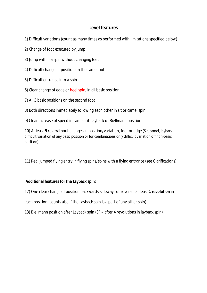# **Level features**

- 1) Difficult variations (count as many times as performed with limitations specified below)
- 2) Change of foot executed by jump
- 3) Jump within a spin without changing feet
- 4) Difficult change of position on the same foot
- 5) Difficult entrance into a spin
- 6) Clear change of edge or heel spin, in all basic position.
- 7) All 3 basic positions on the second foot
- 8) Both directions immediately following each other in sit or camel spin
- 9) Clear increase of speed in camel, sit, layback or Biellmann position

10) At least **5** rev. without changes in position/variation, foot or edge (Sit, camel, layback, difficult variation of any basic position or for combinations only difficult variation off non-basic position)

11) Real jumped flying entry in flying spins/spins with a flying entrance (see Clarifications)

**Additional features for the Layback spin:** 

12) One clear change of position backwards-sideways or reverse, at least **1 revolution** in

each position (counts also if the Layback spin is a part of any other spin)

13) Biellmann position after Layback spin (SP – after **4** revolutions in layback spin)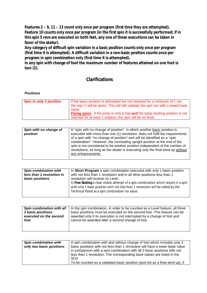**Features 2 – 9, 11 – 13 count only once per program (first time they are attempted). Feature 10 counts only once per program (in the first spin it is successfully performed; if in this spin 5 revs are executed on both feet, any one of these executions can be taken in favor of the skater).** 

**Any category of difficult spin variation in a basic position counts only once per program (first time it is attempted). A difficult variation in a non-basic position counts once per program in spin combination only (first time it is attempted).** 

**In any spin with change of foot the maximum number of features attained on one foot is two (2).** 

# **Clarifications**

*Positions* 

| <b>Spin in only 1 position</b> | If the basic position is attempted but not reached for a minimum of 1 rev.<br>the sign V will be given. This will still validate the spin but with a lowed base<br>value.<br><b>Flying spins</b> : if the jump is only a hop and the basic landing position is not |
|--------------------------------|--------------------------------------------------------------------------------------------------------------------------------------------------------------------------------------------------------------------------------------------------------------------|
|                                | reached for at least 1 rotation, the spin will be no level.                                                                                                                                                                                                        |
|                                |                                                                                                                                                                                                                                                                    |

| Spin with no change of<br>position |
|------------------------------------|
|                                    |
|                                    |

| <b>Spin combination with</b> | In Short Program a spin combination executed with only 1 basic position                                                                                                                                                      |
|------------------------------|------------------------------------------------------------------------------------------------------------------------------------------------------------------------------------------------------------------------------|
| less than 1 revolution in    | with not less than 1 revolution and in all other positions less than 1                                                                                                                                                       |
| basic positions              | revolution will receive no Level.                                                                                                                                                                                            |
|                              | In Free Skating a clear visible attempt of a spin combination which results in a spin<br>with only 1 basic position with not less than 1 revolution will be called by the<br>Technical Panel as a spin combination no value. |

| Spin combination with all | In the spin combination, in order to be counted as a Level feature, all three |
|---------------------------|-------------------------------------------------------------------------------|
| <b>3 basic positions</b>  | basic positions must be executed on the second foot. This feature can be      |
| executed on the second    | awarded only if its execution is not interrupted by a change of foot and      |
| foot                      | cannot be awarded after a second change of foot.                              |
|                           |                                                                               |
|                           |                                                                               |

| <b>Spin combination with</b><br>only two basic positions | A spin combination with and without change of foot which includes only 2<br>basic positions with not less than 1 revolution will have a lower base value     |
|----------------------------------------------------------|--------------------------------------------------------------------------------------------------------------------------------------------------------------|
|                                                          | in comparison with a spin combination with all 3 basic positions with not<br>less than 1 revolution. The corresponding base values are listed in the<br>SOV. |
|                                                          | To be counted as a validated basic position (and not as a final wind up), if                                                                                 |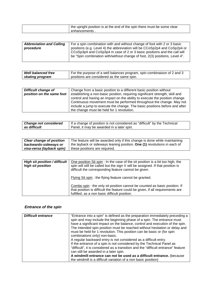| I the upright position is at the end of the spin there must be some clear |
|---------------------------------------------------------------------------|
| enhancements                                                              |

| <b>Abbreviation and Calling</b> | For a spin combination with and without change of foot with 2 or 3 basic    |
|---------------------------------|-----------------------------------------------------------------------------|
| procedure                       | positions (e.g. Level 4) the abbreviation will be CCoSp2p4 and CoSp2p4 or   |
|                                 | CCoSp3p4 and CoSp3p4 in case of 2 or 3 basic positions and the call will    |
|                                 | be "Spin combination with/without change of foot, 2(3) positions, Level 4". |
|                                 |                                                                             |

| <b>Well balanced free</b> | For the purpose of a well balances program, spin combinaison of 2 and 3 |
|---------------------------|-------------------------------------------------------------------------|
| skating program           | positions are considered as the same spin.                              |

| <b>Difficult change of</b><br>position on the same foot | Change from a basic position to a different basic position without<br>establishing a non-basic position, requiring significant strength, skill and<br>control and having an impact on the ability to execute the position change.<br>Continuous movement must be performed throughout the change. May not |
|---------------------------------------------------------|-----------------------------------------------------------------------------------------------------------------------------------------------------------------------------------------------------------------------------------------------------------------------------------------------------------|
|                                                         | include a jump to execute the change. The basic positions before and after<br>the change must be held for 1 revolution.                                                                                                                                                                                   |

| <b>Change not considered</b> | If a change of position is not considered as "difficult" by the Technical |
|------------------------------|---------------------------------------------------------------------------|
| as difficult                 | Panel, it may be awarded in a later spin.                                 |

| <b>Clear change of position</b> | The feature will be awarded only if this change is done while maintaining |
|---------------------------------|---------------------------------------------------------------------------|
| backwards-sideways or           | the layback or sideways leaning position. One (1) revolutions in each of  |
| visa-versa (layback spin)       | these positions are required.                                             |

| High sit position / difficult<br>high sit position | One position Sit spin: In the case of the sit position is a bit too high, the<br>spin will still be called but the sign V will be assigned. If that position is<br>difficult the corresponding feature cannot be given. |
|----------------------------------------------------|-------------------------------------------------------------------------------------------------------------------------------------------------------------------------------------------------------------------------|
|                                                    | Flying Sit spin: the flying feature cannot be granted.                                                                                                                                                                  |
|                                                    | Combo spin : the only sit position cannot be counted as basic position. If<br>that position is difficult the feature could be given, if all requirements are<br>fulfilled, as a non basic difficult position.           |

# *Entrance of the spin*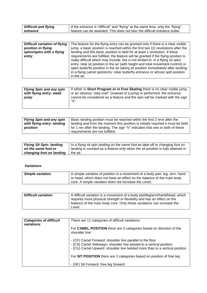| <b>Difficult and flying</b> | If the entrance is "difficult" and "flying" at the same time, only the "flying" |
|-----------------------------|---------------------------------------------------------------------------------|
| entrance                    | feature can be awarded. This does not bloc the difficult entrance bullet.       |

| <b>Difficult variation of flying</b> | The feature for the flying entry can be granted only if there is a clear visible  |
|--------------------------------------|-----------------------------------------------------------------------------------|
| position in flying                   | jump, a basic position is reached within the first two (2) revolutions after the  |
| spins/spins with a flying            | landing and this basic position is held for at least 1 revolution. If these       |
| entry                                | requirements are fulfilled, the feature will be granted if the flying position is |
|                                      | really difficult which may include, but is not limited to: in a flying sit spin/  |
|                                      | entry: total sit position in the air (with height and total movement control) or  |
|                                      | open butterfly position in the air taking sit position immediately after landing; |
|                                      | in a flying camel spin/entry: clear butterfly entrance or almost split position   |
|                                      | in the air.                                                                       |

| <b>Flying Spin and any spin</b><br>with flying entry: week<br>jump | If either in Short Program or in Free Skating there is no clear visible jump<br>or an obvious "step over" (instead of a jump) is performed, the entrance<br>cannot be considered as a feature and the spin will be marked with the sign<br>"V". |
|--------------------------------------------------------------------|-------------------------------------------------------------------------------------------------------------------------------------------------------------------------------------------------------------------------------------------------|
|                                                                    |                                                                                                                                                                                                                                                 |

| <b>Flying Spin and any spin</b> | Basic landing position must be reached within the first 2 revs after the       |
|---------------------------------|--------------------------------------------------------------------------------|
| with flying entry: landing      | landing and from the moment this position is initially reached it must be held |
| position                        | for 1 rev after the landing. The sign "V" indicates that one or both of these  |
|                                 | requirements are not fulfilled.                                                |

| <b>Flying Sit Spin: landing</b> | In a flying sit spin landing on the same foot as take-off or changing foot on   |
|---------------------------------|---------------------------------------------------------------------------------|
| on the same foot or             | landing is counted as a feature only when the sit position is fully attained in |
| changing foot on landing        | the air.                                                                        |

#### *Variations*

| <b>Simple variation</b> | A simple variation of position is a movement of a body part, leg, arm, hand |
|-------------------------|-----------------------------------------------------------------------------|
|                         | or head, which does not have an effect on the balance of the main body      |
|                         | core. A simple variation does not increase the Level.                       |

| <b>Difficult variation</b> | A difficult variation is a movement of a body part/leg/arm/hand/head, which |
|----------------------------|-----------------------------------------------------------------------------|
|                            | requires more physical strength or flexibility and has an effect on the     |
|                            | balance of the main body core. Only these variations can increase the       |
|                            | Level.                                                                      |

| <b>Categories of difficult</b><br>variations | There are 11 categories of difficult variations:                                                                                                                                                                |
|----------------------------------------------|-----------------------------------------------------------------------------------------------------------------------------------------------------------------------------------------------------------------|
|                                              | For <b>CAMEL POSITION</b> there are 3 categories based on direction of the<br>shoulder line:                                                                                                                    |
|                                              | - (CF) Camel Forward: shoulder line parallel to the floor<br>- (CS) Camel Sideways: shoulder line twisted to a vertical position<br>- (CU) Camel Upward: shoulder line twisted more than to a vertical position |
|                                              | For SIT POSITION there are 3 categories based on position of free leg:                                                                                                                                          |
|                                              | - (SF) Sit Forward: free leg forward                                                                                                                                                                            |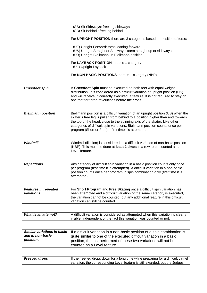| - (SS) Sit Sideways: free leg sideways<br>- (SB) Sit Behind : free leg behind                                                                                          |
|------------------------------------------------------------------------------------------------------------------------------------------------------------------------|
| For UPRIGHT POSITION there are 3 categories based on position of torso:                                                                                                |
| - (UF) Upright Forward: torso leaning forward<br>- (US) Upright Straight or Sideways: torso straight up or sideways<br>- (UB) Upright Biellmann: in Biellmann position |
| For LAYBACK POSITION there is 1 category<br>- (UL) Upright Layback                                                                                                     |
| For <b>NON-BASIC POSITIONS</b> there is 1 category (NBP)                                                                                                               |

| <b>Crossfoot spin</b> | A Crossfoot Spin must be executed on both feet with equal weight                  |
|-----------------------|-----------------------------------------------------------------------------------|
|                       | distribution. It is considered as a difficult variation of upright position (US)  |
|                       | and will receive, if correctly executed, a feature. It is not required to stay on |
|                       | one foot for three revolutions before the cross.                                  |

| <b>Biellmann position</b> | Biellmann position is a difficult variation of an upright position (UB) when the |
|---------------------------|----------------------------------------------------------------------------------|
|                           | skater's free leg is pulled from behind to a position higher than and towards    |
|                           | the top of the head, close to the spinning axis of the skater. Like other        |
|                           | categories of difficult spin variations, Biellmann position counts once per      |
|                           | program (Short or Free) – first time it's attempted.                             |

| Windmill | Windmill (Illusion) is considered as a difficult variation of non-basic position |
|----------|----------------------------------------------------------------------------------|
|          | (NBP). This must be done at <b>least 2 times</b> in a row to be counted as a     |
|          | Level feature.                                                                   |

| <b>Repetitions</b> | Any category of difficult spin variation in a basic position counts only once  |
|--------------------|--------------------------------------------------------------------------------|
|                    | per program (first time it is attempted). A difficult variation in a non-basic |
|                    | position counts once per program in spin combination only (first time it is    |
|                    | attempted).                                                                    |

| <b>Features in repeated</b> | For Short Program and Free Skating once a difficult spin variation has                                                                                      |
|-----------------------------|-------------------------------------------------------------------------------------------------------------------------------------------------------------|
| variations                  | been attempted and a difficult variation of the same category is executed,<br>the variation cannot be counted, but any additional feature in this difficult |
|                             | variation can still be counted.                                                                                                                             |

| <b>What is an attempt?</b> | A difficult variation is considered as attempted when this variation is clearly |
|----------------------------|---------------------------------------------------------------------------------|
|                            | visible, independent of the fact this variation was counted or not.             |

|                  | Similar variations in basic   If a difficult variation in a non-basic position of a spin combination is |
|------------------|---------------------------------------------------------------------------------------------------------|
| and in non-basic | quite similar to one of the executed difficult variation in a basic                                     |
| positions        | position, the last performed of these two variations will not be                                        |
|                  | counted as a Level feature.                                                                             |

| <b>Free leg drops</b> | If the free leg drops down for a long time while preparing for a difficult camel |
|-----------------------|----------------------------------------------------------------------------------|
|                       | variation, the corresponding Level feature is still awarded, but the Judges      |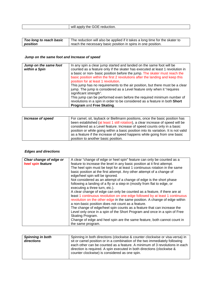| 1000<br>Wili<br>reduction.<br>≅nniv :<br>--<br>me<br>ミュヒノヒ<br>∽<br>ີ |
|----------------------------------------------------------------------|
|                                                                      |

| Too long to reach basic | The reduction will also be applied if it takes a long time for the skater to |
|-------------------------|------------------------------------------------------------------------------|
| position                | reach the necessary basic position in spins in one position.                 |

#### *Jump on the same foot and Increase of speed*

| Jump on the same foot<br>within a Spin | In any spin a clear jump started and landed on the same foot will be<br>counted as a feature only if the skater has executed at least 1 revolution in<br>a basic or non- basic position before the jump. The skater must reach the<br>basic position within the first 2 revolutions after the landing and keep this<br>position for at least 1 revolution.           |
|----------------------------------------|----------------------------------------------------------------------------------------------------------------------------------------------------------------------------------------------------------------------------------------------------------------------------------------------------------------------------------------------------------------------|
|                                        | This jump has no requirements to the air position, but there must be a clear<br>jump. The jump is considered as a Level feature only when it "requires<br>significant strength".<br>This jump can be performed even before the required minimum number of<br>revolutions in a spin in order to be considered as a feature in both Short<br>Program and Free Skating. |

| Increase of speed | For camel, sit, layback or Biellmann positions, once the basic position has<br>been established (at least 1 still rotation), a clear increase of speed will be<br>considered as a Level feature. Increase of speed counts only in a basic<br>position or while going within a basic position into its variation. It is not valid<br>as a feature if the increase of speed happens while going from one basic |
|-------------------|--------------------------------------------------------------------------------------------------------------------------------------------------------------------------------------------------------------------------------------------------------------------------------------------------------------------------------------------------------------------------------------------------------------|
|                   | position to another basic position.                                                                                                                                                                                                                                                                                                                                                                          |

#### *Edges and directions*

| Clear change of edge or | A clear "change of edge or heel spin" feature can only be counted as a      |
|-------------------------|-----------------------------------------------------------------------------|
| heel spin feature       | feature to increase the level in any basic position at it first attempt.    |
|                         | The heel spin must be kept for at least 1 continuous rotation in the same   |
|                         | basic position at the first attempt. Any other attempt of a change of       |
|                         | edge/heel spin will be ignored.                                             |
|                         | Not considered as an attempt of a change of edge is the short phase         |
|                         | following a landing of a fly or a step-in (mostly from flat to edge, or     |
|                         | executing a three turn, etc.).                                              |
|                         | A clear change of edge can only be counted as a feature, if there are at    |
|                         | least 1 continuous revolution on one edge followed by at least 1 continuous |
|                         | revolution on the other edge in the same position. A change of edge within  |
|                         | a non-basic position does not count as a feature.                           |
|                         | The change of edge/heel spin counts as a feature that can increase the      |
|                         | Level only once in a spin of the Short Program and once in a spin of Free   |
|                         | Skating Program.                                                            |
|                         |                                                                             |
|                         | Change of edge and heel spin are the same feature, both cannot count in     |
|                         | the same program.                                                           |

| <b>Spinning in both</b> | Spinning in both directions (clockwise & counter clockwise or visa-versa) in |
|-------------------------|------------------------------------------------------------------------------|
| directions              | sit or camel position or in a combination of the two immediately following   |
|                         | each other can be counted as a feature. A minimum of 3 revolutions in each   |
|                         | direction is required. A spin executed in both directions (clockwise &       |
|                         | counter clockwise) is considered as one spin.                                |
|                         |                                                                              |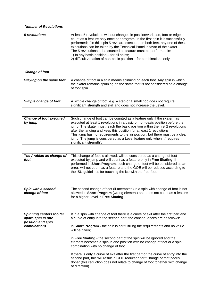#### *Number of Revolutions*

| 5 revolutions | At least 5 revolutions without changes in position/variation, foot or edge<br>count as a feature only once per program, in the first spin it is successfully<br>performed; if in this spin 5 revs are executed on both feet, any one of these<br>executions can be taken by the Technical Panel in favor of the skater.<br>The 5 revolutions to be counted as feature must be performed in:<br>1) In any basic position $-$ for all spins; |
|---------------|--------------------------------------------------------------------------------------------------------------------------------------------------------------------------------------------------------------------------------------------------------------------------------------------------------------------------------------------------------------------------------------------------------------------------------------------|
|               | 2) difficult variation of non-basic position – for combinations only.                                                                                                                                                                                                                                                                                                                                                                      |

#### *Change of foot*

| <b>Staying on the same foot</b> | A change of foot in a spin means spinning on each foot. Any spin in which  |
|---------------------------------|----------------------------------------------------------------------------|
|                                 | the skater remains spinning on the same foot is not considered as a change |
|                                 | of foot spin.                                                              |

| Simple change of foot | A simple change of foot, e.g. a step or a small hop does not require |
|-----------------------|----------------------------------------------------------------------|
|                       | significant strength and skill and does not increase the Level.      |

| <b>Change of foot executed</b> | Such change of foot can be counted as a feature only if the skater has        |
|--------------------------------|-------------------------------------------------------------------------------|
| by jump                        | executed at least 1 revolutions in a basic or non-basic position before the   |
|                                | jump. The skater must reach the basic position within the first 2 revolutions |
|                                | after the landing and keep this position for at least 1 revolutions.          |
|                                | This jump has no requirements to the air position, but there must be a clear  |
|                                | jump. The jump is considered as a Level feature only when it "requires        |
|                                | significant strength".                                                        |

| Toe Arabian as change of | This change of foot is allowed, will be considered as a change of foot                                                                                                                                                 |
|--------------------------|------------------------------------------------------------------------------------------------------------------------------------------------------------------------------------------------------------------------|
| foot                     | executed by jump and will count as a feature only in Free Skating. If                                                                                                                                                  |
|                          | performed in Short Program, such change of foot will be considered as an<br>error, will not count as a feature and the GOE will be reduced according to<br>the ISU guidelines for touching the ice with the free foot. |

| Spin with a second<br>change of foot | The second change of foot (if attempted) in a spin with change of foot is not<br>allowed in Short Program (wrong element) and does not count as a feature<br>for a higher Level in Free Skating. |
|--------------------------------------|--------------------------------------------------------------------------------------------------------------------------------------------------------------------------------------------------|
|                                      |                                                                                                                                                                                                  |

| Spinning centers too far<br>apart (spin in one<br>position and spin | If in a spin with change of foot there is a curve of exit after the first part and<br>a curve of entry into the second part, the consequences are as follows:                                                                                                       |
|---------------------------------------------------------------------|---------------------------------------------------------------------------------------------------------------------------------------------------------------------------------------------------------------------------------------------------------------------|
| combination)                                                        | in Short Program - the spin is not fulfilling the requirements and no value<br>will be given;                                                                                                                                                                       |
|                                                                     | in Free Skating - the second part of the spin will be ignored and the<br>element becomes a spin in one position with no change of foot or a spin<br>combination with no change of foot.                                                                             |
|                                                                     | If there is only a curve of exit after the first part or the curve of entry into the<br>second part, this will result in GOE reduction for "Change of foot poorly<br>done" (this reduction does not relate to change of foot together with change<br>of direction). |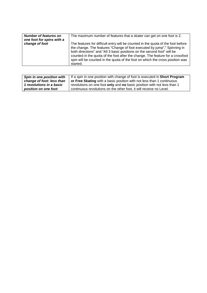| <b>Number of features on</b><br>one foot for spins with a | The maximum number of features that a skater can get on one foot is 2.                                                                                                                                                                                                                                                                                                                                                 |
|-----------------------------------------------------------|------------------------------------------------------------------------------------------------------------------------------------------------------------------------------------------------------------------------------------------------------------------------------------------------------------------------------------------------------------------------------------------------------------------------|
| change of foot                                            | The features for difficult entry will be counted in the quota of the foot before<br>the change. The features "Change of foot executed by jump"," Spinning in<br>both directions" and "All 3 basic positions on the second foot" will be<br>counted in the quota of the foot after the change. The feature for a crossfoot<br>spin will be counted in the quota of the foot on which the cross position was<br>started. |

| Spin in one position with | If a spin in one position with change of foot is executed in Short Program |
|---------------------------|----------------------------------------------------------------------------|
| change of foot: less than | or Free Skating with a basic position with not less than 1 continuous      |
| 1 revolutions in a basic  | revolutions on one foot only and no basic position with not less than 1    |
| position on one foot      | continuous revolutions on the other foot, it will receive no Level.        |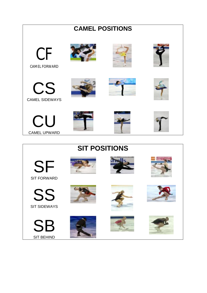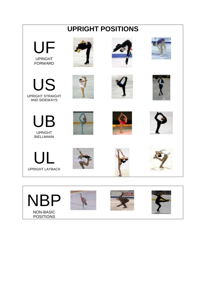# **UPRIGHT POSITIONS**



US UPRIGHT STRAIGHT AND SIDEWAYS









UPRIGHT BIELLMANN













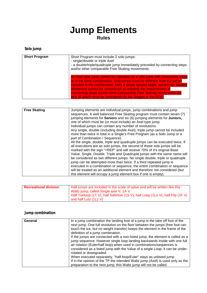# **Jump Elements Rules**

# **Solo jump**

| <b>Short Program</b> | Short Program must include 2 solo jumps:<br>- single/double or triple Axel<br>- a double/triple/quadruple jump immediately preceded by connecting steps<br>and/or other comparable Free Skating movements:                                                                                                                                                                                                                                |
|----------------------|-------------------------------------------------------------------------------------------------------------------------------------------------------------------------------------------------------------------------------------------------------------------------------------------------------------------------------------------------------------------------------------------------------------------------------------------|
|                      | An Axel type jump cannot be repeated as a solo jump with connecting steps<br>or in the jump combination. Solo jumps must be different from the jumps<br>included in the combination. Only a single spread eagle, spiral/Free Skating<br>movement cannot be considered as meeting the requirements of<br>connecting steps and/or other comparable Free Skating movements the<br>lack of which must be considered by the Judges in the GOE. |

| <b>Free Skating</b><br>Jumping elements are individual jumps, jump combinations and jump<br>sequences. A well balanced Free Skating program must contain seven (7)<br>jumping elements for Seniors and six (6) jumping elements for Juniors,<br>one of which must be (or must include) an Axel type jump.<br>Individual jumps can contain any number of revolutions.<br>Any single, double (including double Axel), triple jump cannot be included<br>more than twice in total in a Single's Free Program (as a Solo Jump or a                                                                                                                                                                                                       |
|--------------------------------------------------------------------------------------------------------------------------------------------------------------------------------------------------------------------------------------------------------------------------------------------------------------------------------------------------------------------------------------------------------------------------------------------------------------------------------------------------------------------------------------------------------------------------------------------------------------------------------------------------------------------------------------------------------------------------------------|
| part of Combination / Sequence).<br>All the single, double, triple and quadruple jumps can be executed twice. If<br>all executions are as solo jumps, the second of these solo jumps will be<br>marked with the sign "+REP" and will receive 70% of it's original Base<br>Value. Single, Double, Triple and Quadruple jumps with the same name will<br>be considered as two different jumps. No single double, triple or quadruple<br>jump can be attempted more than twice. If a third repeated jump is<br>executed in a combination or sequence, the entire combination or sequence<br>will be treated as an additional element and therefore not considered (but<br>this element will occupy a jump element box if one is empty). |

| <b>Recreational division</b> | Half jumps are included in the scale of value and will be written like this : |
|------------------------------|-------------------------------------------------------------------------------|
|                              | Waltz jump, called Single axel V, 1A V                                        |
|                              | Half Toeloop (1T V), half Salshow (1S V), half Loop (1Lo V), half Flip (1F V) |
|                              | and half Lutz (1Lz V)                                                         |

# **Jump combination**

| General | In a jump combination the landing foot of a jump is the take off foot of the<br>next jump. One full revolution on the floor between the jumps (free foot can<br>touch the ice, but no weight transfer) keeps the element in the frame of the<br>definition of a jump combination.                                                                                                                                     |
|---------|-----------------------------------------------------------------------------------------------------------------------------------------------------------------------------------------------------------------------------------------------------------------------------------------------------------------------------------------------------------------------------------------------------------------------|
|         | If the jumps are connected with a non-listed jump, the element is called as a<br>jump sequence. However single loop landing backwards inside with one full<br>air rotation (Euler/half loop) when used in combinations/sequences is<br>considered as a listed jump with the Value of a single Loop, it can be under-<br>rotated or downgraded.<br>When executed separately, "half-loop/Euler" stays as unlisted jump. |
|         | If in the opinion of the TP the intended Waltz jump (Axel) is used only as the<br>preparation to the next jump, this Waltz jump will not be called.                                                                                                                                                                                                                                                                   |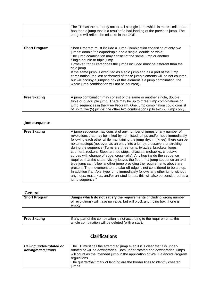| The TP has the authority not to call a single jump which is more similar to a |
|-------------------------------------------------------------------------------|
| hop than a jump that is a result of a bad landing of the previous jump. The   |
| Judges will reflect the mistake in the GOE.                                   |

| <b>Short Program</b><br>Short Program must include a Jump Combination consisting of only two<br>jumps: double/triple/quadruple and a single, double or triple;<br>The jump combination may consist of the same jump or another<br>Single/double or triple jump.<br>However, for all categories the jumps included must be different than the<br>solo jump.<br>If the same jump is executed as a solo jump and as a part of the jump<br>combination, the last performed of these jump elements will be not counted,<br>but will occupy a jumping box (if this element is a jump combination, the<br>whole jump combination will not be counted). |  |
|-------------------------------------------------------------------------------------------------------------------------------------------------------------------------------------------------------------------------------------------------------------------------------------------------------------------------------------------------------------------------------------------------------------------------------------------------------------------------------------------------------------------------------------------------------------------------------------------------------------------------------------------------|--|
|-------------------------------------------------------------------------------------------------------------------------------------------------------------------------------------------------------------------------------------------------------------------------------------------------------------------------------------------------------------------------------------------------------------------------------------------------------------------------------------------------------------------------------------------------------------------------------------------------------------------------------------------------|--|

| <b>Free Skating</b> | A jump combination may consist of the same or another single, double,        |
|---------------------|------------------------------------------------------------------------------|
|                     | triple or quadruple jump. There may be up to three jump combinations or      |
|                     | jump sequences in the Free Program. One jump combination could consist       |
|                     | of up to five (5) jumps, the other two combination up to two (2) jumps only. |

# **Jump sequence**

| <b>Free Skating</b> | A jump sequence may consist of any number of jumps of any number of<br>revolutions that may be linked by non-listed jumps and/or hops immediately<br>following each other while maintaining the jump rhythm (knee); there can be<br>no turns/steps (not even as an entry into a jump), crossovers or stroking<br>during the sequence (Turns are three turns, twizzles, brackets, loops,<br>counters, rockers. Steps are toe steps, chasses, mohawks, choctaws,<br>curves with change of edge, cross-rolls). Any hop inside the sequence<br>requires that the skater visibly leaves the floor. In a jump sequence an axel<br>type jump can follow another jump providing the requirements above are<br>present. The movement to the take-off edge is not considered to be a step.<br>In addition if an Axel type jump immediately follows any other jump without<br>any hops, mazurkas, and/or unlisted jumps, this will also be considered as a<br>jump sequence." |
|---------------------|--------------------------------------------------------------------------------------------------------------------------------------------------------------------------------------------------------------------------------------------------------------------------------------------------------------------------------------------------------------------------------------------------------------------------------------------------------------------------------------------------------------------------------------------------------------------------------------------------------------------------------------------------------------------------------------------------------------------------------------------------------------------------------------------------------------------------------------------------------------------------------------------------------------------------------------------------------------------|

| General              |                                                                                                                                                             |
|----------------------|-------------------------------------------------------------------------------------------------------------------------------------------------------------|
| <b>Short Program</b> | Jumps which do not satisfy the requirements (including wrong number<br>of revolutions) will have no value, but will block a jumping box, if one is<br>empty |

| Free Skating | If any part of the combination is not according to the requirements, the |
|--------------|--------------------------------------------------------------------------|
|              | whole combination will be deleted (with a star).                         |

# **Clarifications**

| downgraded jumps<br>rotated or will be downgraded. Both under-rotated and downgraded jumps<br>will count as the intended jump in the application of Well Balanced Program<br>regulations. | The TP must call the attempted jump even if it is clear that it is under- |
|-------------------------------------------------------------------------------------------------------------------------------------------------------------------------------------------|---------------------------------------------------------------------------|
| The quarter/half mark of landing are the border lines to identify cheated<br>jumps.                                                                                                       |                                                                           |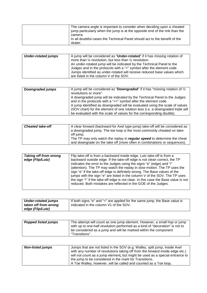| The camera angle is important to consider when deciding upon a cheated<br>jump particularly when the jump is at the opposite end of the rink than the<br>camera. |
|------------------------------------------------------------------------------------------------------------------------------------------------------------------|
| In all doubtful cases the Technical Panel should act to the benefit of the<br>skater.                                                                            |

| <b>Under-rotated jumps</b> | A jump will be considered as "Under-rotated" if it has missing rotation of  |
|----------------------------|-----------------------------------------------------------------------------|
|                            | more than $\frac{1}{4}$ revolution, but less than $\frac{1}{2}$ revolution. |
|                            | An under-rotated jump will be indicated by the Technical Panel to the       |
|                            | Judges and in the protocols with a "<" symbol after the element code.       |
|                            | Jumps identified as under-rotated will receive reduced base values which    |
|                            | are listed in the column V of the SOV.                                      |

| Downgraded jumps | A jump will be considered as "Downgraded" if it has "missing rotation of $\frac{1}{2}$<br>revolutions or more". |
|------------------|-----------------------------------------------------------------------------------------------------------------|
|                  | A downgraded jump will be indicated by the Technical Panel to the Judges                                        |
|                  | and in the protocols with a "<<" symbol after the element code.                                                 |
|                  | A jump identified as downgraded will be evaluated using the scale of values                                     |
|                  | (SOV chart) for the element of one rotation less (i.e. a downgraded triple will                                 |
|                  | be evaluated with the scale of values for the corresponding double).                                            |

| <b>Cheated take-off</b> | A clear forward (backward for Axel type jump) take-off will be considered as |
|-------------------------|------------------------------------------------------------------------------|
|                         |                                                                              |
|                         | a downgraded jump. The toe loop is the most commonly cheated on take-        |
|                         | off jump.                                                                    |
|                         |                                                                              |
|                         | The TP may only watch the replay in regular speed to determine the cheat     |
|                         | and downgrade on the take off (more often in combinations or sequences).     |

| <b>Taking off from wrong</b> | Flip take-off is from a backward inside edge, Lutz take-off is from a                                                                                                                                                                                                                                                                                                                                                                                                                                                                           |
|------------------------------|-------------------------------------------------------------------------------------------------------------------------------------------------------------------------------------------------------------------------------------------------------------------------------------------------------------------------------------------------------------------------------------------------------------------------------------------------------------------------------------------------------------------------------------------------|
| edge (Flip/Lutz)             | backward outside edge. If the take-off edge is not clean correct, the TP<br>indicates the error to the Judges using the signs "e" (edge) and "!"<br>(attention). The TP may watch the replay in slow motion. The TP uses the<br>sign "e" if the take-off edge is definitely wrong. The Base values of the<br>jumps with the sign "e" are listed in the column V of the SOV. The TP uses<br>the sign "!" if the take-off edge is not clear. In this case the Base value is not<br>reduced. Both mistakes are reflected in the GOE of the Judges. |

| <b>Under-rotated jumps</b> | If both signs "e" and "<" are applied for the same jump, the Base value is |
|----------------------------|----------------------------------------------------------------------------|
| taken off from wrong       | indicated in the column V1 of the SOV.                                     |
| edge (Flip/Lutz)           |                                                                            |

| <b>Popped listed jumps</b> | The attempt will count as one jump element. However, a small hop or jump     |
|----------------------------|------------------------------------------------------------------------------|
|                            | with up to one-half revolution performed as a kind of "decoration" is not to |
|                            | be considered as a jump and will be marked within the component              |
|                            | "Transitions".                                                               |

| <b>Non-listed jumps</b> | Jumps that are not listed in the SOV (e.g. Walley, split jump, Inside Axel   |
|-------------------------|------------------------------------------------------------------------------|
|                         | with any number of revolutions taking off from the forward inside edge etc.) |
|                         | will not count as a jump element, but might be used as a special entrance to |
|                         | the jump to be considered in the mark for Transitions.                       |
|                         | A Toe Walley, however, will be called and counted as a Toe loop.             |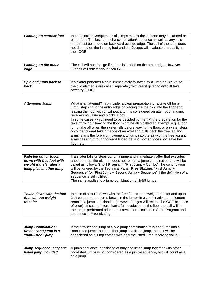| Landing on another foot | In combinations/sequences all jumps except the last one may be landed on<br>either foot. The last jump of a combination/sequence as well as any solo<br>jump must be landed on backward outside edge. The call of the jump does |
|-------------------------|---------------------------------------------------------------------------------------------------------------------------------------------------------------------------------------------------------------------------------|
|                         | not depend on the landing foot and the Judges will evaluate the quality in<br>their GOE.                                                                                                                                        |

| <b>Landing on the other</b> | The call will not change if a jump is landed on the other edge. However |
|-----------------------------|-------------------------------------------------------------------------|
| edge                        | Judges will reflect this in their GOE.                                  |

| Spin and jump back to | If a skater performs a spin, immediately followed by a jump or vice versa, |
|-----------------------|----------------------------------------------------------------------------|
| back                  | the two elements are called separately with credit given to difficult take |
|                       | off/entry (GOE).                                                           |

| What is an attempt? In principle, a clear preparation for a take off for a<br><b>Attempted Jump</b><br>jump, stepping to the entry edge or placing the toe pick into the floor and<br>leaving the floor with or without a turn is considered an attempt of a jump,<br>receives no value and blocks a box.<br>In some cases, which need to be decided by the TP, the preparation for the<br>take off without leaving the floor might be also called an attempt, e.g. a loop<br>jump take off when the skater falls before leaving the floor, or a skater steps | onto the forward take off edge of an Axel and pulls back the free leg and<br>arms, starts the forward movement to jump into the air with the free leg and<br>arms passing through forward but at the last moment does not leave the |
|---------------------------------------------------------------------------------------------------------------------------------------------------------------------------------------------------------------------------------------------------------------------------------------------------------------------------------------------------------------------------------------------------------------------------------------------------------------------------------------------------------------------------------------------------------------|-------------------------------------------------------------------------------------------------------------------------------------------------------------------------------------------------------------------------------------|
|                                                                                                                                                                                                                                                                                                                                                                                                                                                                                                                                                               | floor, etc.                                                                                                                                                                                                                         |

| <b>Fall/step out or touch</b> | If a skater falls or steps out on a jump and immediately after that executes |
|-------------------------------|------------------------------------------------------------------------------|
| down with free foot with      | another jump, the element does not remain a jump combination and will be     |
| weight transfer after a       | called as follows: Short Program: "First Jump + Combo"; the continuation     |
| jump plus another jump        | will be ignored by the Technical Panel. Free Skating: "First Jump +          |
|                               | Sequence" (or "First Jump + Second Jump + Sequence" if the definition of a   |
|                               | sequence is still fulfilled).                                                |
|                               | The same applies to a jump combination of 3/4/5 jumps.                       |

| Touch down with the free | In case of a touch down with the free foot without weight transfer and up to    |
|--------------------------|---------------------------------------------------------------------------------|
| foot without weight      | 2 three turns or no turns between the jumps in a combination, the element       |
| transfer                 | remains a jump combination (however Judges will reduce the GOE because          |
|                          | of error). In case of more than 1 full revolution on the floor the call will be |
|                          | the jumps performed prior to this revolution + combo in Short Program and       |
|                          | sequence in Free Skating.                                                       |

| <b>Jump Combination:</b> | If the first/second jump of a two-jump combination fails and turns into a |
|--------------------------|---------------------------------------------------------------------------|
| first/second jump is a   | "non-listed jump", but the other jump is a listed jump, the unit will be  |
| "non-listed" jump        | considered as a jump combo with only the listed jump receiving value.     |

| listed jump included | <b>Jump sequence: only one</b>   A jump sequence, consisting of only one listed jump together with other<br>non-listed jumps is not considered as a jump-sequence, but will count as a |
|----------------------|----------------------------------------------------------------------------------------------------------------------------------------------------------------------------------------|
|                      | solo jump.                                                                                                                                                                             |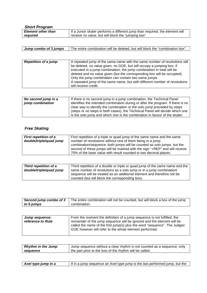|  | <b>Short Program</b> |
|--|----------------------|
|--|----------------------|

| <b>Element other than</b> | If a Junior skater performs a different jump than required, the element will |
|---------------------------|------------------------------------------------------------------------------|
| required                  | receive no value, but will block the "jumping box".                          |
|                           |                                                                              |

| Jump combo of 3 jumps | The entire combination will be deleted, but will block the "combination box". |
|-----------------------|-------------------------------------------------------------------------------|

| <b>Repetition of a jump</b> | A repeated jump of the same name with the same number of revolutions will  |
|-----------------------------|----------------------------------------------------------------------------|
|                             | be deleted, no value given, no GOE, but will occupy a jumping box; if      |
|                             | executed in a jump combination, the jump combination in total will be      |
|                             | deleted and no value given (but the corresponding box will be occupied).   |
|                             | Only the jump combination can contain two same jumps.                      |
|                             | A repeated jump of the same name, but with different number of revolutions |
|                             | will receive credit.                                                       |

| No second jump in a | If there is no second jump in a jump combination, the Technical Panel           |
|---------------------|---------------------------------------------------------------------------------|
| jump combination    | identifies the intended combination during or after the program. If there is no |
|                     | clear way to identify the combination or the solo jump preceded by steps        |
|                     | (steps or no steps in both cases), the Technical Panel will decide which one    |
|                     | is the solo jump and which one is the combination in favour of the skater.      |

# *Free Skating*

| <b>First repetition of a</b> | First repetition of a triple or quad jump of the same name and the same    |
|------------------------------|----------------------------------------------------------------------------|
| double/triple/quad jump      | number of revolutions without one of them being in a jump                  |
|                              | combination/sequence: both jumps will be counted as solo jumps, but the    |
|                              | second of these jumps will be marked with the sign "+REP" and will receive |
|                              | 70% of the base value with result rounded to two decimal places.           |

| Third repetition of a   | Third repetition of a double or triple or quad jump of the same name and the                                              |
|-------------------------|---------------------------------------------------------------------------------------------------------------------------|
| double/triple/quad jump | same number of revolutions as a solo jump or in a jump combination/                                                       |
|                         | sequence will be treated as an additional element and therefore not be<br>counted (but will block the corresponding box). |

|            | Second jump combo of 3   The entire combination will not be counted, but will block a box of the jump |
|------------|-------------------------------------------------------------------------------------------------------|
| to 5 jumps | combination.                                                                                          |

| Jump sequence:<br>reference to Rule | From the moment the definition of a jump sequence is not fulfilled, the<br>remainder of the jump sequence will be ignored and the element will be<br>called the name of the first jump(s) plus the word "sequence". The Judges'<br>GOE however will refer to the whole element performed. |
|-------------------------------------|-------------------------------------------------------------------------------------------------------------------------------------------------------------------------------------------------------------------------------------------------------------------------------------------|
|                                     |                                                                                                                                                                                                                                                                                           |

| <b>Rhythm in the Jump</b> | Jump sequence without a clear rhythm is not counted as a sequence; only |
|---------------------------|-------------------------------------------------------------------------|
| sequence                  | the part prior to the loss of the rhythm will be called.                |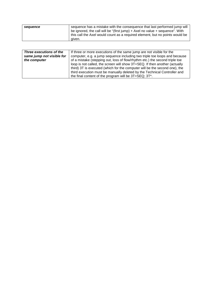| sequence | sequence has a mistake with the consequence that last performed jump will    |
|----------|------------------------------------------------------------------------------|
|          | be ignored, the call will be "(first jump) + Axel no value + sequence". With |
|          | this call the Axel would count as a required element, but no points would be |
|          | aiven.                                                                       |

| Three executions of the   | If three or more executions of the same jump are not visible for the        |
|---------------------------|-----------------------------------------------------------------------------|
| same jump not visible for | computer, e.g. a jump sequence including two triple toe loops and because   |
| the computer              | of a mistake (stepping out, loss of flow/rhythm etc.) the second triple toe |
|                           | loop is not called, the screen will show 3T+SEQ. If then another (actually  |
|                           | third) 3T is executed (which for the computer will be the second one), the  |
|                           | third execution must be manually deleted by the Technical Controller and    |
|                           | the final content of the program will be 3T+SEQ; 3T*.                       |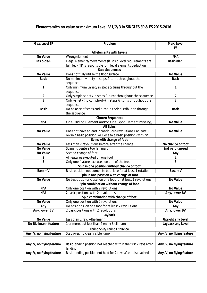#### **Elements with no value or maximum Level B/1/2/3 in SINGLES SP & FS 2015-2016**

| Max. Level SP             | Problem                                                                     | Max. Level                |
|---------------------------|-----------------------------------------------------------------------------|---------------------------|
|                           |                                                                             | <b>FS</b>                 |
|                           | All elements with Levels                                                    |                           |
| No Value                  | Wrong element                                                               | N/A                       |
| Basic+ded.                | Illegal elements/movements (if Basic Level requirements are                 | Basic+ded.                |
|                           | fulfilled); TP is responsible for illegal elements deduction                |                           |
|                           | <b>Step Sequences</b>                                                       |                           |
| No Value                  | Does not fully utilize the floor surface                                    | No Value                  |
| <b>Basic</b>              | No minimum variety in steps & turns throughout the<br>sequence              | <b>Basic</b>              |
| 1                         | Only minimum variety in steps & turns throughout the<br>sequence            | 1                         |
| 2                         | Only simple variety in steps & turns throughout the sequence                | $\overline{2}$            |
| $\overline{3}$            | Only variety (no complexity) in steps & turns throughout the                | 3                         |
|                           | sequence                                                                    |                           |
| <b>Basic</b>              | No balance of steps and turns in their distribution through<br>the sequence | <b>Basic</b>              |
|                           | <b>Choreo Sequences</b>                                                     |                           |
| N/A                       | One Gliding Element and/or One Spot Element missing,                        | No Value                  |
|                           | <b>All Spins</b>                                                            |                           |
| No Value                  | Does not have at least 2 continuous revolutions / at least 1                | No Value                  |
|                           | rev in a basic position, or close to a basic position (with "V")            |                           |
|                           | Spins with change of foot                                                   |                           |
| No Value                  | Less than 2 revolutions before/after the change                             | No change of foot         |
| No Value                  | Spinning centers too far apart                                              | 2nd part ignored          |
| No Value                  | Second change of foot                                                       | Any                       |
| 2                         | All features executed on one foot                                           | 2                         |
| 3                         | Only one feature executed on one of the feet                                | 3                         |
|                           | Spin in one position without change of foot                                 |                           |
| $Base + V$                | Basic position not complete but close for at least 1 rotation               | $Base + V$                |
|                           | Spin in one position with change of foot                                    |                           |
| No Value                  | No basic pos. (or close) on one foot for at least 1 revolutions             | No Value                  |
|                           | Spin combination without change of foot                                     |                           |
| N/A                       | Only one position with 2 revolutions                                        | <b>No Value</b>           |
| N/A                       | 2 basic positions with 2 revolutions                                        | Any, lower BV             |
|                           | Spin combination with change of foot                                        |                           |
| No Value                  | Only one position with 2 revolutions                                        | No Value                  |
| Any                       | No basic pos. on one foot for at least 2 revolutions                        | Any                       |
| Any, lower BV             | 2 basic positions with 2 revolutions                                        | Any, lower BV             |
|                           | Layback                                                                     |                           |
| No Value                  | Less than 1 rev. + Biellmann                                                | Upright any Level         |
| No Biellmann feature      | 1 or more, but less than 4 rev. + Biellmann                                 | Layback any Level         |
|                           | Flying Spin/Flying Entrance                                                 |                           |
| Any, V, no flying feature | Step over/no clear visible jump                                             | Any, V, no flying feature |
|                           |                                                                             |                           |
| Any, V, no flying feature | Basic landing position not reached within the first 2 revs after<br>landing | Any, V, no flying feature |
| Any, V, no flying feature | Basic landing position not held for 2 revs after it is reached              | Any, V, no flying feature |
|                           |                                                                             |                           |
|                           |                                                                             |                           |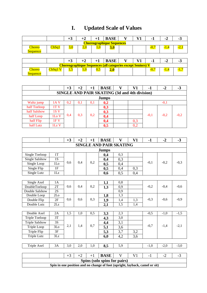# **I. Updated Scale of Values**

|                                  |                                  | $+3$        | $+2$    | $+1$     | <b>BASE</b>                                                        |  |  |        | -2     | - 3    |  |  |  |
|----------------------------------|----------------------------------|-------------|---------|----------|--------------------------------------------------------------------|--|--|--------|--------|--------|--|--|--|
|                                  | <b>Choreographique Sequences</b> |             |         |          |                                                                    |  |  |        |        |        |  |  |  |
| <b>Choreo</b><br><b>Sequence</b> | ChSq1                            | 3,0         | $2{,}0$ | $_{1,0}$ | 3,0                                                                |  |  | $-0,7$ | $-1,4$ | $-2,1$ |  |  |  |
|                                  |                                  |             |         |          |                                                                    |  |  |        |        |        |  |  |  |
|                                  |                                  | $+3$        | +2      | $+1$     | <b>BASE</b>                                                        |  |  | н.     | -2     | -3     |  |  |  |
|                                  |                                  |             |         |          | <b>Choreographique Sequences (all categories except Seniors) V</b> |  |  |        |        |        |  |  |  |
| <b>Choreo</b>                    | ChSq1                            | <u>د, ا</u> |         | 0,5      | 2,0                                                                |  |  | -0,7   | $-1,4$ | -1.7   |  |  |  |
| <b>Sequence</b>                  |                                  |             |         |          |                                                                    |  |  |        |        |        |  |  |  |

|                                                      |                   | $+3$ | $+2$ | $+1$ | <b>BASE</b>  |  | V1  | $-1$   | $-2$   | $-3$   |  |  |
|------------------------------------------------------|-------------------|------|------|------|--------------|--|-----|--------|--------|--------|--|--|
| <b>SINGLE AND PAIR SKATING (3d and 4th division)</b> |                   |      |      |      |              |  |     |        |        |        |  |  |
|                                                      |                   |      |      |      | <b>Jumps</b> |  |     |        |        |        |  |  |
| Waltz jump                                           | 1A <sub>V</sub>   | 0,2  | 0.1  | 0,1  | 0,2          |  |     |        | $-0.1$ |        |  |  |
| half Toeloop                                         | 1T <sub>V</sub>   |      |      |      | 0,3          |  |     |        |        |        |  |  |
| half Salshow                                         | 1S <sub>V</sub>   |      |      |      | 0,3          |  |     |        |        |        |  |  |
| half Loop                                            | 1 <sub>Lo</sub> V | 0.4  | 0.3  | 0,2  | 0,4          |  |     | $-0.1$ | $-0.2$ | $-0.2$ |  |  |
| half Flip                                            | IFV               |      |      |      | 0,4          |  | 0,3 |        |        |        |  |  |
| half Lutz                                            | $1Lz$ V           |      |      |      | 0,5          |  | 0.2 |        |        |        |  |  |

|                                |     | $+3$ | $+2$ | $+1$ | <b>BASE</b>  |     | V1  | - 1    | -2     | - 3    |  |  |
|--------------------------------|-----|------|------|------|--------------|-----|-----|--------|--------|--------|--|--|
| <b>SINGLE AND PAIR SKATING</b> |     |      |      |      |              |     |     |        |        |        |  |  |
|                                |     |      |      |      | <b>Jumps</b> |     |     |        |        |        |  |  |
| Single Toeloop                 | 1Т  |      |      |      | 0,4          | 0,3 |     |        |        |        |  |  |
| Single Salshow                 | 1S  |      |      |      | 0,4          | 0,3 |     |        |        |        |  |  |
| Single Loop                    | 1Lo | 0,6  | 0,4  | 0,2  | 0,5          | 0,4 |     | $-0.1$ | $-0.2$ | $-0,3$ |  |  |
| Single Flip                    | 1F  |      |      |      | 0,5          | 0,4 | 0,3 |        |        |        |  |  |
| Single Lutz                    | 1Lz |      |      |      | 0,6          | 0.5 | 0,4 |        |        |        |  |  |

| Single Axel    | lΑ              |     |     |     | 1, L | 0,8   |     |        |        |        |
|----------------|-----------------|-----|-----|-----|------|-------|-----|--------|--------|--------|
| DoubleToeloop  | 2T              | 0.6 | 0.4 | 0,2 | 1,3  | 0,9   |     | $-0,2$ | $-0.4$ | $-0,6$ |
| Double Salshow | 2S              |     |     |     |      | 0,9   |     |        |        |        |
| Double Loop    | 2 <sub>Lo</sub> |     |     |     | 1,8  | 1,3   |     |        |        |        |
| Double Flip    | 2F              | 0.6 | 0.6 | 0,3 | 1,9  | 4. ا  | 1.3 | $-0.3$ | $-0.6$ | $-0,9$ |
| Double Lutz    | 2Lz             |     |     |     | 2,1  | ن و 1 | 1.4 |        |        |        |

| Double Axel           | 2Α              | C. 1 | 1.0 | 0,5 | 3,3 | 2,3 |            | -0.5   | $-1.0$ | $-1,$  |
|-----------------------|-----------------|------|-----|-----|-----|-----|------------|--------|--------|--------|
| Triple Toeloop        | 3T              |      |     |     | 4,3 | 3,0 |            |        |        |        |
| <b>Triple Salshow</b> | 3S              |      |     |     | 4,4 | 3,1 |            |        |        |        |
| Triple Loop           | 3 <sub>Lo</sub> | 2,1  | 1.4 | 0,7 | 5,1 | 3,6 |            | $-0.7$ | $-1.4$ | $-2,1$ |
| Triple Flip           | 3F              |      |     |     | 5,3 | 3,7 | 2 C<br>ے ک |        |        |        |
| Triple Lutz           | 3Lz             |      |     |     | 6,0 | 4.Z | 3,0        |        |        |        |

| —<br>Axel<br>$r_{1}n$<br>7nie<br><b>II.</b> | 、⊿<br>ັ້ | ◡ | $\sim$ | $\overline{\phantom{a}}$<br>1.V | $o$ . | $\sim$ $\sim$ |  | -<br>-- |  |
|---------------------------------------------|----------|---|--------|---------------------------------|-------|---------------|--|---------|--|
|                                             |          |   |        |                                 |       |               |  |         |  |

|                                                                             |  |  | <b>BASE</b>                  |  |  |  |  |  |  |  |  |  |
|-----------------------------------------------------------------------------|--|--|------------------------------|--|--|--|--|--|--|--|--|--|
|                                                                             |  |  | Spins (solo spins for pairs) |  |  |  |  |  |  |  |  |  |
| Spin in one position and no change of foot (upright, layback, camel or sit) |  |  |                              |  |  |  |  |  |  |  |  |  |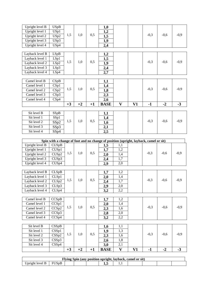| Upright level B | <b>USpB</b>                |      |      |      | 1,0                                                                                   |              |    |        |        |        |
|-----------------|----------------------------|------|------|------|---------------------------------------------------------------------------------------|--------------|----|--------|--------|--------|
| Upright level 1 | USp1                       |      |      |      | 1,2                                                                                   |              |    |        |        |        |
| Upright level 2 | USp2                       | 1,5  | 1,0  | 0,5  | 1,5                                                                                   |              |    | $-0,3$ | $-0,6$ | $-0,9$ |
| Upright level 3 | USp3                       |      |      |      | 1,9                                                                                   |              |    |        |        |        |
| Upright level 4 | USp4                       |      |      |      | 2,4                                                                                   |              |    |        |        |        |
|                 |                            |      |      |      |                                                                                       |              |    |        |        |        |
| Layback level B | LSpB                       |      |      |      | 1,2                                                                                   |              |    |        |        |        |
| Layback level 1 | LSp1                       |      |      |      | 1,5                                                                                   |              |    |        |        |        |
| Layback level 2 | LSp2                       | 1,5  | 1,0  | 0,5  | 1,9                                                                                   |              |    | $-0,3$ | $-0,6$ | $-0,9$ |
| Layback level 3 | LSp3                       |      |      |      | 2,4                                                                                   |              |    |        |        |        |
| Layback level 4 | LSp4                       |      |      |      | 2,7                                                                                   |              |    |        |        |        |
|                 |                            |      |      |      |                                                                                       |              |    |        |        |        |
| Camel level B   | CSpB                       |      |      |      | 1,1                                                                                   |              |    |        |        |        |
| Camel level 1   | CSp1                       |      |      |      | 1,4                                                                                   |              |    |        |        |        |
| Camel level 2   | CSp2                       | 1,5  | 1,0  | 0,5  | 1,8                                                                                   |              |    | $-0,3$ | $-0,6$ | $-0,9$ |
| Camel level 3   | CSp3                       |      |      |      | 2,3                                                                                   |              |    |        |        |        |
| Camel level 4   | CSp4                       |      |      |      | 2,6                                                                                   |              |    |        |        |        |
|                 |                            | $+3$ | $+2$ | $+1$ | <b>BASE</b>                                                                           | $\mathbf{V}$ | V1 | $-1$   | $-2$   | $-3$   |
|                 |                            |      |      |      |                                                                                       |              |    |        |        |        |
| Sit level B     | SSpB                       |      |      |      | 1,1                                                                                   |              |    |        |        |        |
| Sit level 1     | SSp1                       |      |      |      | 1,4                                                                                   |              |    |        |        |        |
| Sit level 2     | SSp2                       | 1,5  | 1,0  | 0,5  | 1,6                                                                                   |              |    | $-0,3$ | $-0,6$ | $-0,9$ |
| Sit level 3     | SSp3                       |      |      |      | 2,1                                                                                   |              |    |        |        |        |
| Sit level 4     | SS <sub>p4</sub>           |      |      |      | 2,5                                                                                   |              |    |        |        |        |
|                 |                            |      |      |      |                                                                                       |              |    |        |        |        |
|                 |                            |      |      |      | Spin with a change of foot and no change of position (upright, layback, camel or sit) |              |    |        |        |        |
| Upright level B | CUSpB                      |      |      |      | 1,5                                                                                   | 1,1          |    |        |        |        |
| Upright level 1 | CUSp1                      |      |      |      | 1,7                                                                                   | 1,2          |    |        |        |        |
| Upright level 2 | CUS <sub>p2</sub>          | 1,5  | 1,0  | 0,5  | 2,0                                                                                   | 1,4          |    | $-0,3$ | $-0,6$ | $-0,9$ |
| Upright level 3 | CUSp3                      |      |      |      | 2,4                                                                                   | 1,7          |    |        |        |        |
| Upright level 4 | $\overline{\text{CUS}}$ p4 |      |      |      | 2,9                                                                                   | 2,0          |    |        |        |        |
|                 |                            |      |      |      |                                                                                       |              |    |        |        |        |
| Layback level B | <b>CLSpB</b>               |      |      |      | 1,7                                                                                   | 1,2          |    |        |        |        |
| Layback level 1 | CLSp1                      |      |      |      | 2,0                                                                                   | 1,4          |    |        |        |        |
| Layback level 2 | CLSp2                      | 1,5  | 1,0  | 0,5  | 2,4                                                                                   | 1,7          |    | $-0,3$ | $-0,6$ | $-0,9$ |
| Layback level 3 | CLSp3                      |      |      |      | 2,9                                                                                   | 2,0          |    |        |        |        |
| Layback level 4 | CLSp4                      |      |      |      | 3,2                                                                                   | 2,2          |    |        |        |        |
|                 |                            |      |      |      |                                                                                       |              |    |        |        |        |
| Camel level B   | CCSpB                      |      |      |      | 1,7                                                                                   | 1,2          |    |        |        |        |
| Camel level 1   | CCSp1                      |      |      |      | 2,0                                                                                   | 1,4          |    |        |        |        |
| Camel level 2   | CCSp2                      | 1,5  | 1,0  | 0,5  | 2,3                                                                                   | 1,6          |    | $-0,3$ | $-0,6$ | $-0,9$ |
| Camel level 3   | CCSp3                      |      |      |      | 2,8                                                                                   | 2,0          |    |        |        |        |
| Camel level 4   | CCSp4                      |      |      |      | 3,2                                                                                   | 2,2          |    |        |        |        |
|                 |                            |      |      |      |                                                                                       |              |    |        |        |        |
| Sit level B     | CSSpB                      |      |      |      | 1,6                                                                                   | 1,1          |    |        |        |        |
| Sit level 1     | CSSp1                      |      |      |      | 1,9                                                                                   | 1,3          |    |        |        |        |
| Sit level 2     | CSSp2                      | 1,5  | 1,0  | 0,5  | 2,3                                                                                   | 1,6          |    | $-0,3$ | $-0,6$ | $-0,9$ |
| Sit level 3     | CSSp3                      |      |      |      | 2,6                                                                                   | 1,8          |    |        |        |        |
| Sit level 4     | CSSp4                      |      |      |      | 3,0                                                                                   | 2,1          |    |        |        |        |
|                 |                            |      |      |      |                                                                                       |              |    |        |        |        |
|                 |                            | $+3$ | $+2$ | $+1$ | <b>BASE</b>                                                                           | V            | V1 | $-1$   | $-2$   | $-3$   |

| <b>Flying Spin (any position upright, layback, or</b><br>camel or sit |  |  |  |                 |  |  |  |  |  |  |  |
|-----------------------------------------------------------------------|--|--|--|-----------------|--|--|--|--|--|--|--|
| . Inright<br>level.<br>в                                              |  |  |  | 4. <sup>.</sup> |  |  |  |  |  |  |  |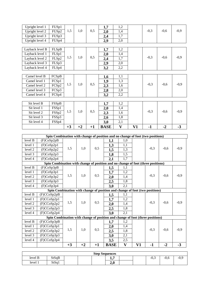| Upright level 1 | FUS <sub>p1</sub> |      |      |      | 1,7         | 1,2          |    |        |        |        |
|-----------------|-------------------|------|------|------|-------------|--------------|----|--------|--------|--------|
| Upright level 2 | FUS <sub>p2</sub> | 1,5  | 1,0  | 0,5  | 2,0         | 1,4          |    | $-0,3$ | $-0,6$ | $-0,9$ |
| Upright level 3 | FUSp3             |      |      |      | 2,4         | 1,7          |    |        |        |        |
| Upright level 4 | FUSp4             |      |      |      | 2,9         | 2,0          |    |        |        |        |
|                 |                   |      |      |      |             |              |    |        |        |        |
| Layback level B | FLSpB             |      |      |      | 1,7         | 1,2          |    |        |        |        |
| Layback level 1 | FLSp1             |      |      |      | 2,0         | 1,4          |    |        |        |        |
| Layback level 2 | FLSp2             | 1,5  | 1,0  | 0,5  | 2,4         | 1,7          |    | $-0,3$ | $-0,6$ | $-0,9$ |
| Layback level 3 | FLSp3             |      |      |      | 2,9         | 2,0          |    |        |        |        |
| Layback level 4 | FLSp4             |      |      |      | 3,2         | 2,2          |    |        |        |        |
|                 |                   |      |      |      |             |              |    |        |        |        |
| Camel level B   | FCSpB             |      |      |      | 1,6         | 1,1          |    |        |        |        |
| Camel level 1   | FCSp1             |      |      |      | 1,9         | 1,3          |    |        |        |        |
| Camel level 2   | FCSp2             | 1,5  | 1,0  | 0,5  | 2,3         | 1,6          |    | $-0,3$ | $-0,6$ | $-0,9$ |
| Camel level 3   | FCSp3             |      |      |      | 2,8         | 2,0          |    |        |        |        |
| Camel level 4   | FCSp4             |      |      |      | 3,2         | 2,2          |    |        |        |        |
|                 |                   |      |      |      |             |              |    |        |        |        |
| Sit level B     | FSSpB             |      |      |      | 1,7         | 1,2          |    |        |        |        |
| Sit level 1     | FSSp1             |      |      |      | 2,0         | 1,4          |    |        |        |        |
| Sit level 2     | FSSp2             | 1,5  | 1,0  | 0,5  | 2,3         | 1,6          |    | $-0,3$ | $-0,6$ | $-0,9$ |
| Sit level 3     | FSSp3             |      |      |      | 2,6         | 1,8          |    |        |        |        |
| Sit level 4     | FSS <sub>p4</sub> |      |      |      | 3,0         | 2,1          |    |        |        |        |
|                 |                   | $+3$ | $+2$ | $+1$ | <b>BASE</b> | $\mathbf{V}$ | V1 | $-1$   | $-2$   | $-3$   |

|         | Spin Combination with change of position and no change of foot (two positions)   |      |      |      |             |              |    |        |        |        |
|---------|----------------------------------------------------------------------------------|------|------|------|-------------|--------------|----|--------|--------|--------|
| level B | (F)CoSp2pB                                                                       |      |      |      | 1,1         | 1.0          |    |        |        |        |
| level 1 | (F)CoSp2p1                                                                       |      |      |      | 1,3         | 1,1          |    |        |        |        |
| level 2 | (F)CoSp2p2                                                                       | 1,5  | 1,0  | 0,5  | 1,5         | 1,3          |    | $-0.3$ | $-0.6$ | $-0,9$ |
| level 3 | (F)CoSp2p3                                                                       |      |      |      | 1,8         | 1,5          |    |        |        |        |
| level 4 | (F)CoSp2p4                                                                       |      |      |      | 2,1         | 1,7          |    |        |        |        |
|         | Spin Combination with change of position and no change of foot (three positions) |      |      |      |             |              |    |        |        |        |
| level B | (F)CoSp3pB                                                                       |      |      |      | 1,5         | 1,1          |    |        |        |        |
| level 1 | (F)CoSp3p1                                                                       |      |      |      | 1,7         | 1,2          |    |        |        |        |
| level 2 | (F)CoSp3p2                                                                       | 1,5  | 1,0  | 0,5  | 2,0         | 1,4          |    | $-0.3$ | $-0,6$ | $-0,9$ |
| level 3 | (F)CoSp3p3                                                                       |      |      |      | 2,5         | 1,8          |    |        |        |        |
| level 4 | (F)CoSp3p4                                                                       |      |      |      | 3,0         | 2,1          |    |        |        |        |
|         | Spin Combination with change of position and change of foot (two positions)      |      |      |      |             |              |    |        |        |        |
| level B | (F)CCoSp2pB                                                                      |      |      |      | 1,5         | 1,1          |    |        |        |        |
| level 1 | (F)CCoSp2p1                                                                      |      |      |      | 1,7         | 1,2          |    |        |        |        |
| level 2 | (F)CCoSp2p2                                                                      | 1,5  | 1,0  | 0,5  | 2,0         | 1,4          |    | $-0,3$ | $-0,6$ | $-0,9$ |
| level 3 | (F)CCoSp2p3                                                                      |      |      |      | 2,5         | 1,8          |    |        |        |        |
| level 4 | (F)CCoSp2p4                                                                      |      |      |      | 3,0         | 2,1          |    |        |        |        |
|         | Spin Combination with change of position and change of foot (three positions)    |      |      |      |             |              |    |        |        |        |
| level B | (F)CCoSp3pB                                                                      |      |      |      | 1,7         | 1,2          |    |        |        |        |
| level 1 | (F)CCoSp3p1                                                                      |      |      |      | 2,0         | 1,4          |    |        |        |        |
| level 2 | (F)CCoSp3p2                                                                      | 1,5  | 1,0  | 0,5  | 2,5         | 1,8          |    | $-0,3$ | $-0,6$ | $-0,9$ |
| level 3 | (F)CCoSp3p3                                                                      |      |      |      | 3,0         | 2,1          |    |        |        |        |
| level 4 | (F)CCoSp3p4                                                                      |      |      |      | 3,5         | 2,5          |    |        |        |        |
|         |                                                                                  | $+3$ | $+2$ | $+1$ | <b>BASE</b> | $\mathbf{V}$ | V1 | $-1$   | $-2$   | $-3$   |

| <b>Step Sequences</b> |       |  |  |  |                           |  |  |                          |      |        |
|-----------------------|-------|--|--|--|---------------------------|--|--|--------------------------|------|--------|
| level B               | StSqB |  |  |  | . .                       |  |  | $\sim$<br>$-U_{\bullet}$ | -0,0 | $-0,9$ |
| level 1               | StSq1 |  |  |  | $\sim$<br>$\Omega$<br>2.V |  |  |                          |      |        |